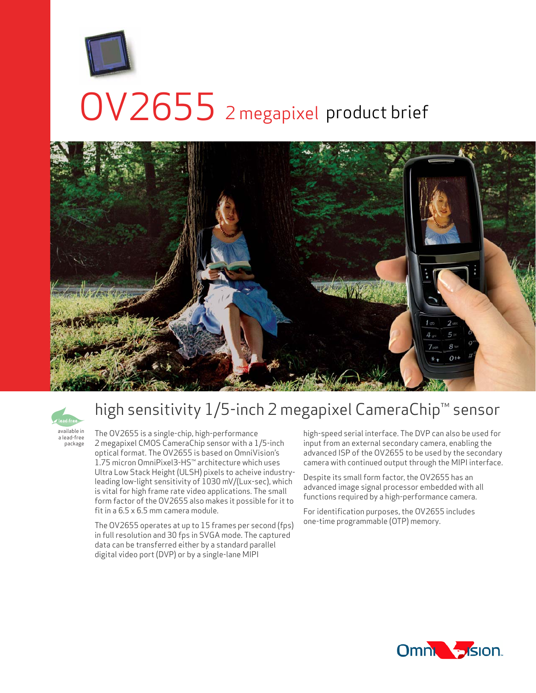

# OV2655 2 megapixel product brief





a lead-free package

## high sensitivity 1/5-inch 2 megapixel CameraChip™ sensor

The OV2655 is a single-chip, high-performance 2 megapixel CMOS CameraChip sensor with a 1/5-inch optical format. The OV2655 is based on OmniVision's 1.75 micron OmniPixel3-HS™ architecture which uses Ultra Low Stack Height (ULSH) pixels to acheive industryleading low-light sensitivity of 1030 mV/(Lux-sec), which is vital for high frame rate video applications. The small form factor of the OV2655 also makes it possible for it to fit in a 6.5 x 6.5 mm camera module.

The OV2655 operates at up to 15 frames per second (fps) in full resolution and 30 fps in SVGA mode. The captured data can be transferred either by a standard parallel digital video port (DVP) or by a single-lane MIPI

high-speed serial interface. The DVP can also be used for input from an external secondary camera, enabling the advanced ISP of the OV2655 to be used by the secondary camera with continued output through the MIPI interface.

Despite its small form factor, the OV2655 has an advanced image signal processor embedded with all functions required by a high-performance camera.

For identification purposes, the OV2655 includes one-time programmable (OTP) memory.